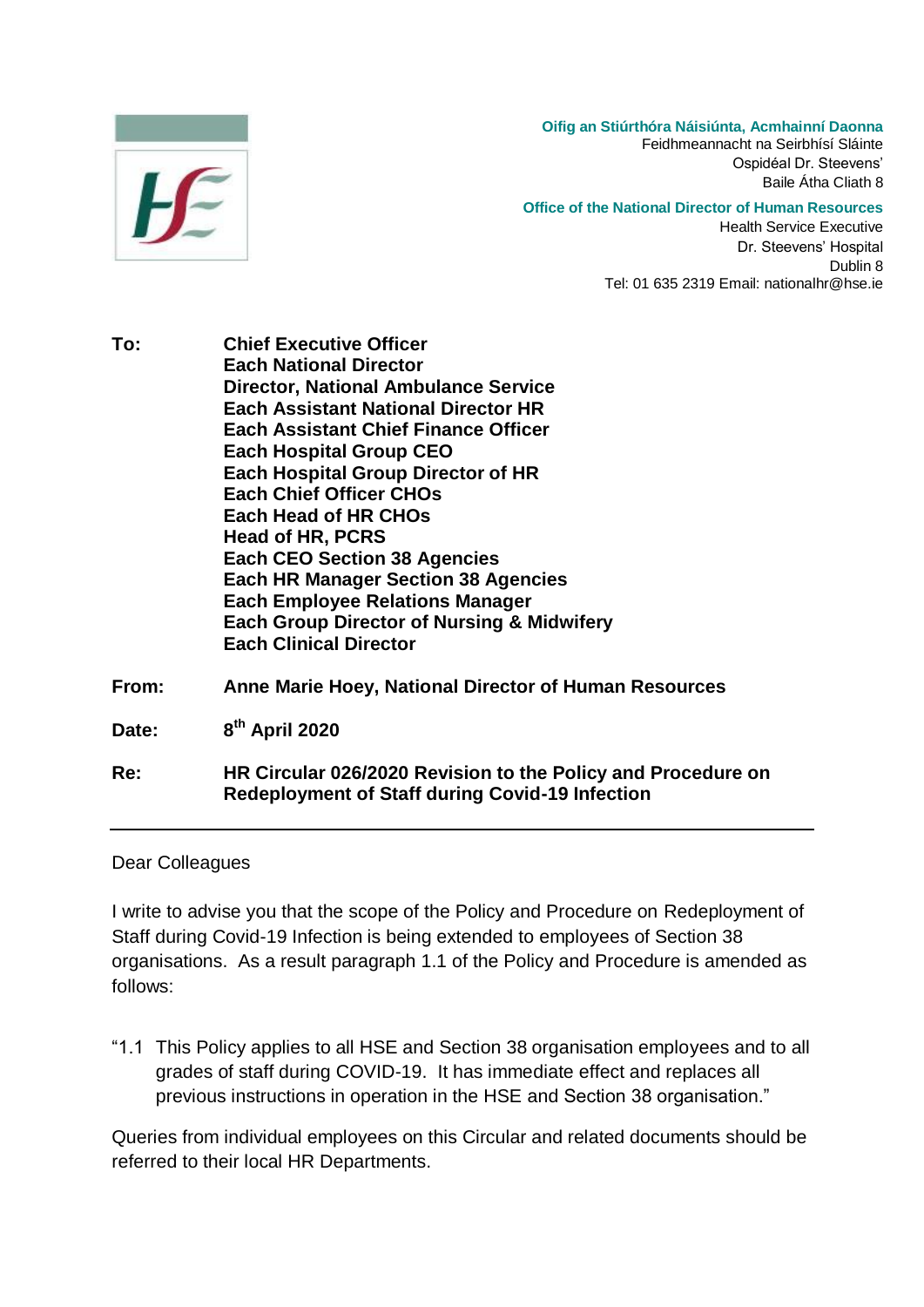

**Oifig an Stiúrthóra Náisiúnta, Acmhainní Daonna** Feidhmeannacht na Seirbhísí Sláinte Ospidéal Dr. Steevens' Baile Átha Cliath 8

## **Office of the National Director of Human Resources**

Health Service Executive Dr. Steevens' Hospital Dublin 8 Tel: 01 635 2319 Email: nationalhr@hse.ie

**To: Chief Executive Officer Each National Director Director, National Ambulance Service Each Assistant National Director HR Each Assistant Chief Finance Officer Each Hospital Group CEO Each Hospital Group Director of HR Each Chief Officer CHOs Each Head of HR CHOs Head of HR, PCRS Each CEO Section 38 Agencies Each HR Manager Section 38 Agencies Each Employee Relations Manager Each Group Director of Nursing & Midwifery Each Clinical Director From: Anne Marie Hoey, National Director of Human Resources** Date: **th April 2020**

**Re: HR Circular 026/2020 Revision to the Policy and Procedure on Redeployment of Staff during Covid-19 Infection**

## Dear Colleagues

I write to advise you that the scope of the Policy and Procedure on Redeployment of Staff during Covid-19 Infection is being extended to employees of Section 38 organisations. As a result paragraph 1.1 of the Policy and Procedure is amended as follows:

"1.1 This Policy applies to all HSE and Section 38 organisation employees and to all grades of staff during COVID-19. It has immediate effect and replaces all previous instructions in operation in the HSE and Section 38 organisation."

Queries from individual employees on this Circular and related documents should be referred to their local HR Departments.